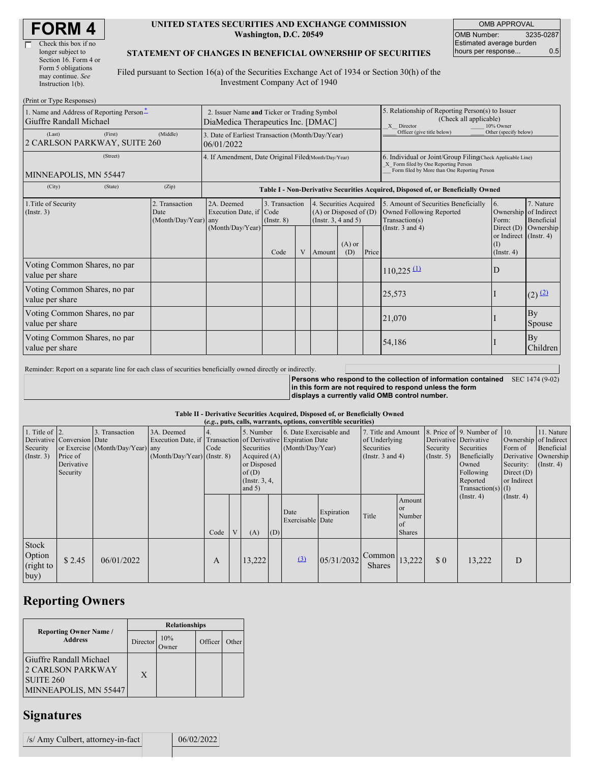| Check this box if no  |
|-----------------------|
| longer subject to     |
| Section 16. Form 4 or |
| Form 5 obligations    |
| may continue. See     |
| Instruction $1(b)$ .  |
|                       |

#### **UNITED STATES SECURITIES AND EXCHANGE COMMISSION Washington, D.C. 20549**

OMB APPROVAL OMB Number: 3235-0287 Estimated average burden hours per response... 0.5

### **STATEMENT OF CHANGES IN BENEFICIAL OWNERSHIP OF SECURITIES**

Filed pursuant to Section 16(a) of the Securities Exchange Act of 1934 or Section 30(h) of the Investment Company Act of 1940

| (Print or Type Responses)                                           |                                                                                   |                                                                                  |                                   |  |                                                                                  |                                                                                                       |                                                                                                                                                    |                                                                                           |                                                                   |                         |
|---------------------------------------------------------------------|-----------------------------------------------------------------------------------|----------------------------------------------------------------------------------|-----------------------------------|--|----------------------------------------------------------------------------------|-------------------------------------------------------------------------------------------------------|----------------------------------------------------------------------------------------------------------------------------------------------------|-------------------------------------------------------------------------------------------|-------------------------------------------------------------------|-------------------------|
| 1. Name and Address of Reporting Person-<br>Giuffre Randall Michael | 2. Issuer Name and Ticker or Trading Symbol<br>DiaMedica Therapeutics Inc. [DMAC] |                                                                                  |                                   |  |                                                                                  | 5. Relationship of Reporting Person(s) to Issuer<br>(Check all applicable)<br>X Director<br>10% Owner |                                                                                                                                                    |                                                                                           |                                                                   |                         |
| (First)<br>(Last)<br>2 CARLSON PARKWAY, SUITE 260                   | (Middle)                                                                          | 3. Date of Earliest Transaction (Month/Day/Year)<br>06/01/2022                   |                                   |  |                                                                                  |                                                                                                       | Officer (give title below)                                                                                                                         | Other (specify below)                                                                     |                                                                   |                         |
| (Street)<br>MINNEAPOLIS, MN 55447                                   | 4. If Amendment, Date Original Filed(Month/Day/Year)                              |                                                                                  |                                   |  |                                                                                  |                                                                                                       | 6. Individual or Joint/Group Filing(Check Applicable Line)<br>X Form filed by One Reporting Person<br>Form filed by More than One Reporting Person |                                                                                           |                                                                   |                         |
| (City)<br>(State)                                                   | (Zip)                                                                             | Table I - Non-Derivative Securities Acquired, Disposed of, or Beneficially Owned |                                   |  |                                                                                  |                                                                                                       |                                                                                                                                                    |                                                                                           |                                                                   |                         |
| 1. Title of Security<br>(Insert. 3)                                 | 2. Transaction<br>Date<br>(Month/Day/Year) any                                    | 2A. Deemed<br>Execution Date, if Code<br>(Month/Day/Year)                        | 3. Transaction<br>$($ Instr. $8)$ |  | 4. Securities Acquired<br>$(A)$ or Disposed of $(D)$<br>(Instr. $3, 4$ and $5$ ) |                                                                                                       |                                                                                                                                                    | 5. Amount of Securities Beneficially<br><b>Owned Following Reported</b><br>Transaction(s) | 6.<br>Ownership of Indirect<br>Form:                              | 7. Nature<br>Beneficial |
|                                                                     |                                                                                   |                                                                                  | Code                              |  | V Amount                                                                         | $(A)$ or<br>(D)                                                                                       | Price                                                                                                                                              | (Instr. $3$ and $4$ )                                                                     | Direct $(D)$<br>or Indirect (Instr. 4)<br>(I)<br>$($ Instr. 4 $)$ | Ownership               |
| Voting Common Shares, no par<br>value per share                     |                                                                                   |                                                                                  |                                   |  |                                                                                  |                                                                                                       |                                                                                                                                                    | $110,225 \frac{\text{(1)}}{\text{(2)}}$                                                   | D                                                                 |                         |
| Voting Common Shares, no par<br>value per share                     |                                                                                   |                                                                                  |                                   |  |                                                                                  |                                                                                                       |                                                                                                                                                    | 25,573                                                                                    |                                                                   | $(2)$ $(2)$             |
| Voting Common Shares, no par<br>value per share                     |                                                                                   |                                                                                  |                                   |  |                                                                                  |                                                                                                       |                                                                                                                                                    | 21,070                                                                                    |                                                                   | By<br>Spouse            |
| Voting Common Shares, no par<br>value per share                     |                                                                                   |                                                                                  |                                   |  |                                                                                  |                                                                                                       |                                                                                                                                                    | 54,186                                                                                    |                                                                   | By<br>Children          |

Reminder: Report on a separate line for each class of securities beneficially owned directly or indirectly.

**Persons who respond to the collection of information contained** SEC 1474 (9-02) **in this form are not required to respond unless the form displays a currently valid OMB control number.**

#### **Table II - Derivative Securities Acquired, Disposed of, or Beneficially Owned**

| (e.g., puts, calls, warrants, options, convertible securities) |                                                                  |                                                    |                                                                                                             |            |   |                                                                                                     |     |                                             |            |                                                                                    |                                                      |                              |                                                                                                                                           |                                                            |                                                                                               |
|----------------------------------------------------------------|------------------------------------------------------------------|----------------------------------------------------|-------------------------------------------------------------------------------------------------------------|------------|---|-----------------------------------------------------------------------------------------------------|-----|---------------------------------------------|------------|------------------------------------------------------------------------------------|------------------------------------------------------|------------------------------|-------------------------------------------------------------------------------------------------------------------------------------------|------------------------------------------------------------|-----------------------------------------------------------------------------------------------|
| 1. Title of $ 2$ .<br>Security<br>(Insert. 3)                  | Derivative Conversion Date<br>Price of<br>Derivative<br>Security | 3. Transaction<br>or Exercise (Month/Day/Year) any | 3A. Deemed<br>Execution Date, if Transaction of Derivative Expiration Date<br>$(Month/Day/Year)$ (Instr. 8) | 4.<br>Code |   | 5. Number<br>Securities<br>Acquired $(A)$<br>or Disposed<br>of $(D)$<br>(Instr. $3, 4,$<br>and $5)$ |     | 6. Date Exercisable and<br>(Month/Day/Year) |            | 7. Title and Amount<br>of Underlying<br><b>Securities</b><br>(Instr. $3$ and $4$ ) |                                                      | Security<br>$($ Instr. 5 $)$ | 8. Price of 9. Number of<br>Derivative Derivative<br>Securities<br>Beneficially<br>Owned<br>Following<br>Reported<br>Transaction(s) $(I)$ | 10.<br>Form of<br>Security:<br>Direct $(D)$<br>or Indirect | 11. Nature<br>Ownership of Indirect<br>Beneficial<br>Derivative Ownership<br>$($ Instr. 4 $)$ |
|                                                                |                                                                  |                                                    |                                                                                                             | Code       | V | (A)                                                                                                 | (D) | Date<br>Exercisable Date                    | Expiration | Title                                                                              | Amount<br><b>or</b><br>Number<br>of<br><b>Shares</b> |                              | $($ Instr. 4 $)$                                                                                                                          | $($ Instr. 4 $)$                                           |                                                                                               |
| Stock<br>Option<br>(right to<br>buy)                           | \$2.45                                                           | 06/01/2022                                         |                                                                                                             | A          |   | 13,222                                                                                              |     | $\left(3\right)$                            | 05/31/2032 | $\sqrt{ \text{Common}   13,222}$<br><b>Shares</b>                                  |                                                      | $\Omega$                     | 13,222                                                                                                                                    | D                                                          |                                                                                               |

# **Reporting Owners**

|                                                                                           | <b>Relationships</b> |                     |         |       |  |  |  |  |
|-------------------------------------------------------------------------------------------|----------------------|---------------------|---------|-------|--|--|--|--|
| <b>Reporting Owner Name /</b><br><b>Address</b>                                           | Director             | 10%<br><b>Twner</b> | Officer | Other |  |  |  |  |
| Giuffre Randall Michael<br><b>2 CARLSON PARKWAY</b><br>SUITE 260<br>MINNEAPOLIS, MN 55447 | X                    |                     |         |       |  |  |  |  |

### **Signatures**

| /s/ Amy Culbert, attorney-in-fact | 06/02/2022 |
|-----------------------------------|------------|
|                                   |            |